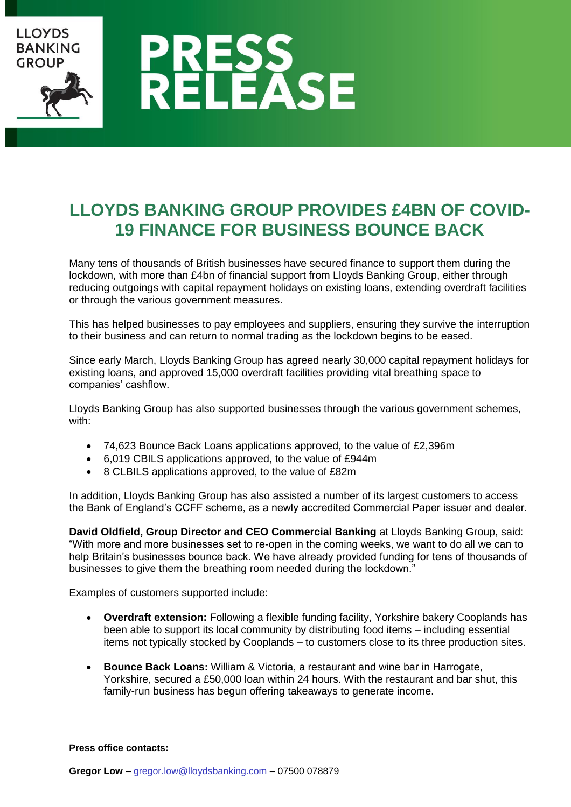

## **LLOYDS BANKING GROUP PROVIDES £4BN OF COVID-19 FINANCE FOR BUSINESS BOUNCE BACK**

Many tens of thousands of British businesses have secured finance to support them during the lockdown, with more than £4bn of financial support from Lloyds Banking Group, either through reducing outgoings with capital repayment holidays on existing loans, extending overdraft facilities or through the various government measures.

This has helped businesses to pay employees and suppliers, ensuring they survive the interruption to their business and can return to normal trading as the lockdown begins to be eased.

Since early March, Lloyds Banking Group has agreed nearly 30,000 capital repayment holidays for existing loans, and approved 15,000 overdraft facilities providing vital breathing space to companies' cashflow.

Lloyds Banking Group has also supported businesses through the various government schemes, with:

- 74,623 Bounce Back Loans applications approved, to the value of £2,396m
- 6,019 CBILS applications approved, to the value of £944m
- 8 CLBILS applications approved, to the value of £82m

In addition, Lloyds Banking Group has also assisted a number of its largest customers to access the Bank of England's CCFF scheme, as a newly accredited Commercial Paper issuer and dealer.

**David Oldfield, Group Director and CEO Commercial Banking** at Lloyds Banking Group, said: "With more and more businesses set to re-open in the coming weeks, we want to do all we can to help Britain's businesses bounce back. We have already provided funding for tens of thousands of businesses to give them the breathing room needed during the lockdown."

Examples of customers supported include:

- **Overdraft extension:** Following a flexible funding facility, Yorkshire bakery Cooplands has been able to support its local community by distributing food items – including essential items not typically stocked by Cooplands – to customers close to its three production sites.
- **Bounce Back Loans:** William & Victoria, a restaurant and wine bar in Harrogate, Yorkshire, secured a £50,000 loan within 24 hours. With the restaurant and bar shut, this family-run business has begun offering takeaways to generate income.

**Press office contacts:**